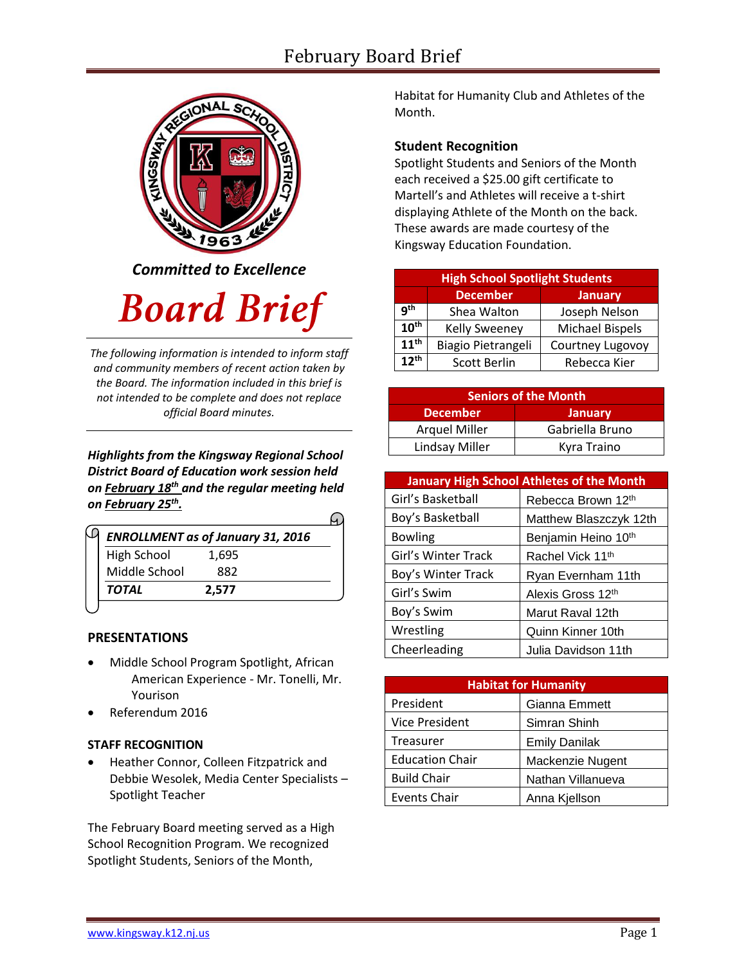# February Board Brief



*Committed to Excellence*

# **Board Brief**

*The following information is intended to inform staff and community members of recent action taken by the Board. The information included in this brief is not intended to be complete and does not replace official Board minutes.*

*Highlights from the Kingsway Regional School District Board of Education work session held on February 18th and the regular meeting held on February 25th .*   $\bigcap$ 

| <b>ENROLLMENT as of January 31, 2016</b> |
|------------------------------------------|
| 1,695                                    |
| 882                                      |
| 2.577                                    |
|                                          |

# **PRESENTATIONS**

- Middle School Program Spotlight, African American Experience - Mr. Tonelli, Mr. Yourison
- Referendum 2016

# **STAFF RECOGNITION**

 Heather Connor, Colleen Fitzpatrick and Debbie Wesolek, Media Center Specialists – Spotlight Teacher

The February Board meeting served as a High School Recognition Program. We recognized Spotlight Students, Seniors of the Month,

Habitat for Humanity Club and Athletes of the Month.

# **Student Recognition**

Spotlight Students and Seniors of the Month each received a \$25.00 gift certificate to Martell's and Athletes will receive a t-shirt displaying Athlete of the Month on the back. These awards are made courtesy of the Kingsway Education Foundation.

| <b>High School Spotlight Students</b> |                      |                        |  |
|---------------------------------------|----------------------|------------------------|--|
|                                       | <b>December</b>      | <b>January</b>         |  |
| q <sup>th</sup>                       | Shea Walton          | Joseph Nelson          |  |
| 10 <sup>th</sup>                      | <b>Kelly Sweeney</b> | <b>Michael Bispels</b> |  |
| 11 <sup>th</sup>                      | Biagio Pietrangeli   | Courtney Lugovoy       |  |
| $12^{th}$                             | <b>Scott Berlin</b>  | Rebecca Kier           |  |

| <b>Seniors of the Month</b> |                 |  |  |
|-----------------------------|-----------------|--|--|
| <b>December</b>             | <b>January</b>  |  |  |
| <b>Arquel Miller</b>        | Gabriella Bruno |  |  |
| Lindsay Miller              | Kyra Traino     |  |  |

| <b>January High School Athletes of the Month</b> |                              |  |  |
|--------------------------------------------------|------------------------------|--|--|
| Girl's Basketball                                | Rebecca Brown 12th           |  |  |
| Boy's Basketball                                 | Matthew Blaszczyk 12th       |  |  |
| <b>Bowling</b>                                   | Benjamin Heino 10th          |  |  |
| Girl's Winter Track                              | Rachel Vick 11 <sup>th</sup> |  |  |
| Boy's Winter Track                               | Ryan Evernham 11th           |  |  |
| Girl's Swim                                      | Alexis Gross 12th            |  |  |
| Boy's Swim                                       | Marut Raval 12th             |  |  |
| Wrestling                                        | Quinn Kinner 10th            |  |  |
| Cheerleading                                     | Julia Davidson 11th          |  |  |

| <b>Habitat for Humanity</b> |                      |  |  |
|-----------------------------|----------------------|--|--|
| President                   | Gianna Emmett        |  |  |
| <b>Vice President</b>       | Simran Shinh         |  |  |
| Treasurer                   | <b>Emily Danilak</b> |  |  |
| <b>Education Chair</b>      | Mackenzie Nugent     |  |  |
| <b>Build Chair</b>          | Nathan Villanueva    |  |  |
| <b>Events Chair</b>         | Anna Kjellson        |  |  |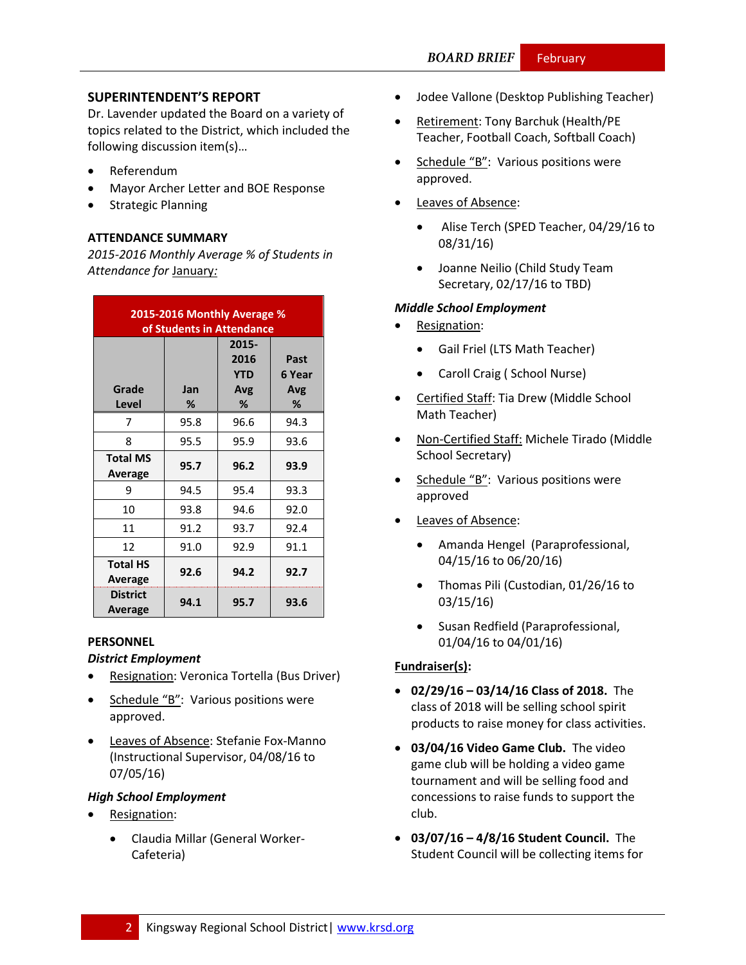# **SUPERINTENDENT'S REPORT**

Dr. Lavender updated the Board on a variety of topics related to the District, which included the following discussion item(s)…

- Referendum
- Mayor Archer Letter and BOE Response
- Strategic Planning

# **ATTENDANCE SUMMARY**

*2015-2016 Monthly Average % of Students in Attendance for* January*:*

| 2015-2016 Monthly Average %<br>of Students in Attendance |          |                                         |                            |  |
|----------------------------------------------------------|----------|-----------------------------------------|----------------------------|--|
| Grade<br><b>Level</b>                                    | Jan<br>% | 2015-<br>2016<br><b>YTD</b><br>Avg<br>℅ | Past<br>6 Year<br>Avg<br>% |  |
| 7                                                        | 95.8     | 96.6                                    | 94.3                       |  |
| 8                                                        | 95.5     | 95.9                                    | 93.6                       |  |
| <b>Total MS</b><br>Average                               | 95.7     | 96.2                                    | 93.9                       |  |
| ٩                                                        | 94.5     | 95.4                                    | 93.3                       |  |
| 10                                                       | 93.8     | 94.6                                    | 92.0                       |  |
| 11                                                       | 91.2     | 93.7                                    | 92.4                       |  |
| 12                                                       | 91.0     | 92.9                                    | 91.1                       |  |
| <b>Total HS</b><br>Average                               | 92.6     | 94.2                                    | 92.7                       |  |
| <b>District</b><br>Average                               | 94.1     | 95.7                                    | 93.6                       |  |

#### **PERSONNEL**

#### *District Employment*

- **•** Resignation: Veronica Tortella (Bus Driver)
- Schedule "B": Various positions were approved.
- Leaves of Absence: Stefanie Fox-Manno (Instructional Supervisor, 04/08/16 to 07/05/16)

### *High School Employment*

- Resignation:
	- Claudia Millar (General Worker-Cafeteria)
- Jodee Vallone (Desktop Publishing Teacher)
- Retirement: Tony Barchuk (Health/PE Teacher, Football Coach, Softball Coach)
- Schedule "B": Various positions were approved.
- Leaves of Absence:
	- Alise Terch (SPED Teacher, 04/29/16 to 08/31/16)
	- Joanne Neilio (Child Study Team Secretary, 02/17/16 to TBD)

#### *Middle School Employment*

- Resignation:
	- Gail Friel (LTS Math Teacher)
	- Caroll Craig ( School Nurse)
- Certified Staff: Tia Drew (Middle School Math Teacher)
- Non-Certified Staff: Michele Tirado (Middle School Secretary)
- Schedule "B": Various positions were approved
- Leaves of Absence:
	- Amanda Hengel (Paraprofessional, 04/15/16 to 06/20/16)
	- Thomas Pili (Custodian, 01/26/16 to 03/15/16)
	- Susan Redfield (Paraprofessional, 01/04/16 to 04/01/16)

#### **Fundraiser(s):**

- **02/29/16 – 03/14/16 Class of 2018.** The class of 2018 will be selling school spirit products to raise money for class activities.
- **03/04/16 Video Game Club.** The video game club will be holding a video game tournament and will be selling food and concessions to raise funds to support the club.
- **03/07/16 – 4/8/16 Student Council.** The Student Council will be collecting items for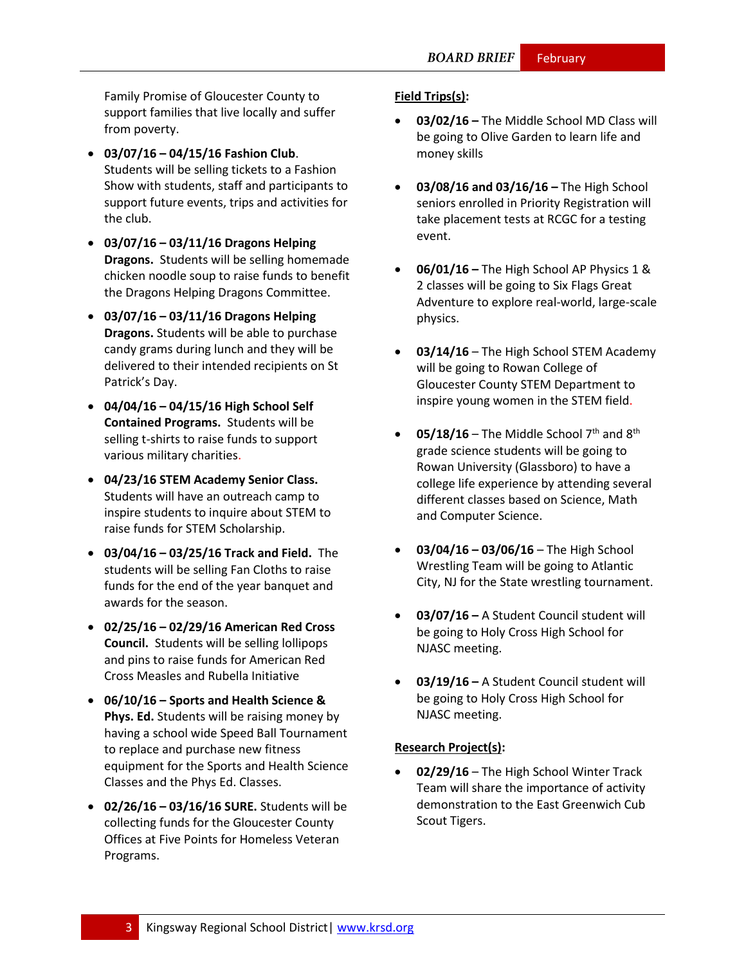Family Promise of Gloucester County to support families that live locally and suffer from poverty.

- **03/07/16 – 04/15/16 Fashion Club**. Students will be selling tickets to a Fashion Show with students, staff and participants to support future events, trips and activities for the club.
- **03/07/16 – 03/11/16 Dragons Helping Dragons.** Students will be selling homemade chicken noodle soup to raise funds to benefit the Dragons Helping Dragons Committee.
- **03/07/16 – 03/11/16 Dragons Helping Dragons.** Students will be able to purchase candy grams during lunch and they will be delivered to their intended recipients on St Patrick's Day.
- **04/04/16 – 04/15/16 High School Self Contained Programs.** Students will be selling t-shirts to raise funds to support various military charities.
- **04/23/16 STEM Academy Senior Class.**  Students will have an outreach camp to inspire students to inquire about STEM to raise funds for STEM Scholarship.
- **03/04/16 – 03/25/16 Track and Field.** The students will be selling Fan Cloths to raise funds for the end of the year banquet and awards for the season.
- **02/25/16 – 02/29/16 American Red Cross Council.** Students will be selling lollipops and pins to raise funds for American Red Cross Measles and Rubella Initiative
- **06/10/16 – Sports and Health Science & Phys. Ed.** Students will be raising money by having a school wide Speed Ball Tournament to replace and purchase new fitness equipment for the Sports and Health Science Classes and the Phys Ed. Classes.
- **02/26/16 – 03/16/16 SURE.** Students will be collecting funds for the Gloucester County Offices at Five Points for Homeless Veteran Programs.

# **Field Trips(s):**

- **03/02/16 –** The Middle School MD Class will be going to Olive Garden to learn life and money skills
- **03/08/16 and 03/16/16 –** The High School seniors enrolled in Priority Registration will take placement tests at RCGC for a testing event.
- **06/01/16 –** The High School AP Physics 1 & 2 classes will be going to Six Flags Great Adventure to explore real-world, large-scale physics.
- **03/14/16** The High School STEM Academy will be going to Rowan College of Gloucester County STEM Department to inspire young women in the STEM field.
- $\bullet$  **05/18/16** The Middle School 7<sup>th</sup> and 8<sup>th</sup> grade science students will be going to Rowan University (Glassboro) to have a college life experience by attending several different classes based on Science, Math and Computer Science.
- **03/04/16 – 03/06/16** The High School Wrestling Team will be going to Atlantic City, NJ for the State wrestling tournament.
- **03/07/16 –** A Student Council student will be going to Holy Cross High School for NJASC meeting.
- **03/19/16 –** A Student Council student will be going to Holy Cross High School for NJASC meeting.

# **Research Project(s):**

 **02/29/16** – The High School Winter Track Team will share the importance of activity demonstration to the East Greenwich Cub Scout Tigers.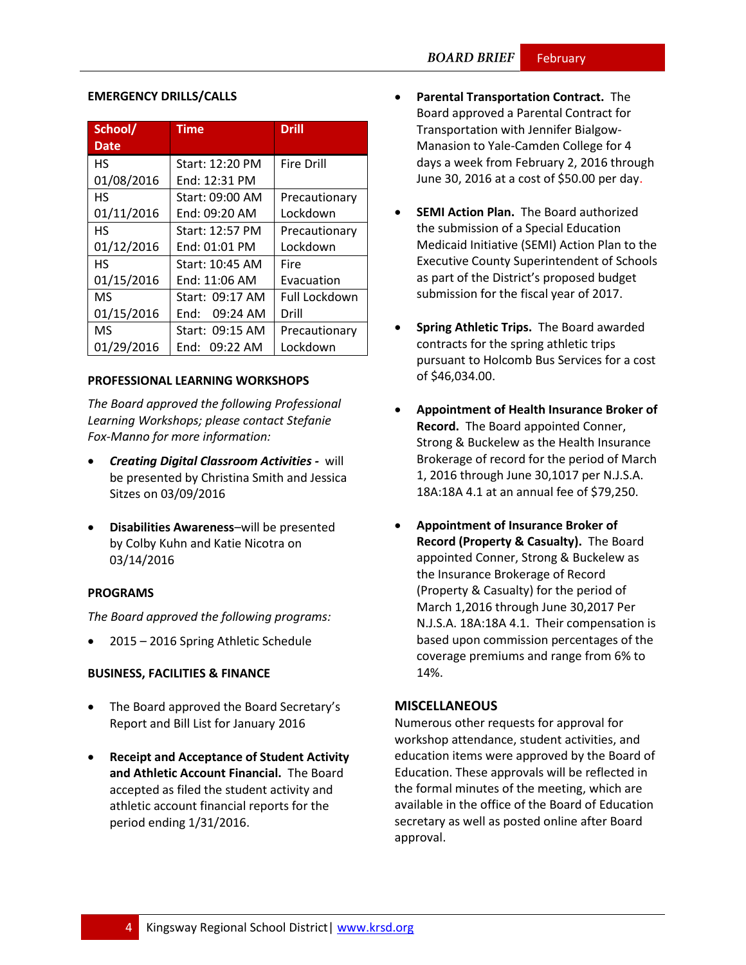#### **EMERGENCY DRILLS/CALLS**

| School/     | Time               | <b>Drill</b>      |
|-------------|--------------------|-------------------|
| <b>Date</b> |                    |                   |
| <b>HS</b>   | Start: 12:20 PM    | <b>Fire Drill</b> |
| 01/08/2016  | End: 12:31 PM      |                   |
| НS          | Start: 09:00 AM    | Precautionary     |
| 01/11/2016  | End: 09:20 AM      | Lockdown          |
| НS          | Start: 12:57 PM    | Precautionary     |
| 01/12/2016  | End: 01:01 PM      | Lockdown          |
| НS          | Start: 10:45 AM    | Fire              |
| 01/15/2016  | End: 11:06 AM      | Evacuation        |
| <b>MS</b>   | Start: 09:17 AM    | Full Lockdown     |
| 01/15/2016  | 09:24 AM<br>End: l | Drill             |
| MS          | Start: 09:15 AM    | Precautionary     |
| 01/29/2016  | End: 09:22 AM      | Lockdown          |

#### **PROFESSIONAL LEARNING WORKSHOPS**

*The Board approved the following Professional Learning Workshops; please contact Stefanie Fox-Manno for more information:*

- *Creating Digital Classroom Activities -* will be presented by Christina Smith and Jessica Sitzes on 03/09/2016
- **Disabilities Awareness**–will be presented by Colby Kuhn and Katie Nicotra on 03/14/2016

# **PROGRAMS**

*The Board approved the following programs:*

2015 – 2016 Spring Athletic Schedule

# **BUSINESS, FACILITIES & FINANCE**

- The Board approved the Board Secretary's Report and Bill List for January 2016
- **Receipt and Acceptance of Student Activity and Athletic Account Financial.** The Board accepted as filed the student activity and athletic account financial reports for the period ending 1/31/2016.
- **Parental Transportation Contract.** The Board approved a Parental Contract for Transportation with Jennifer Bialgow-Manasion to Yale-Camden College for 4 days a week from February 2, 2016 through June 30, 2016 at a cost of \$50.00 per day.
- **SEMI Action Plan.** The Board authorized the submission of a Special Education Medicaid Initiative (SEMI) Action Plan to the Executive County Superintendent of Schools as part of the District's proposed budget submission for the fiscal year of 2017.
- **Spring Athletic Trips.** The Board awarded contracts for the spring athletic trips pursuant to Holcomb Bus Services for a cost of \$46,034.00.
- **Appointment of Health Insurance Broker of Record.** The Board appointed Conner, Strong & Buckelew as the Health Insurance Brokerage of record for the period of March 1, 2016 through June 30,1017 per N.J.S.A. 18A:18A 4.1 at an annual fee of \$79,250.
- **Appointment of Insurance Broker of Record (Property & Casualty).** The Board appointed Conner, Strong & Buckelew as the Insurance Brokerage of Record (Property & Casualty) for the period of March 1,2016 through June 30,2017 Per N.J.S.A. 18A:18A 4.1. Their compensation is based upon commission percentages of the coverage premiums and range from 6% to 14%.

# **MISCELLANEOUS**

Numerous other requests for approval for workshop attendance, student activities, and education items were approved by the Board of Education. These approvals will be reflected in the formal minutes of the meeting, which are available in the office of the Board of Education secretary as well as posted online after Board approval.